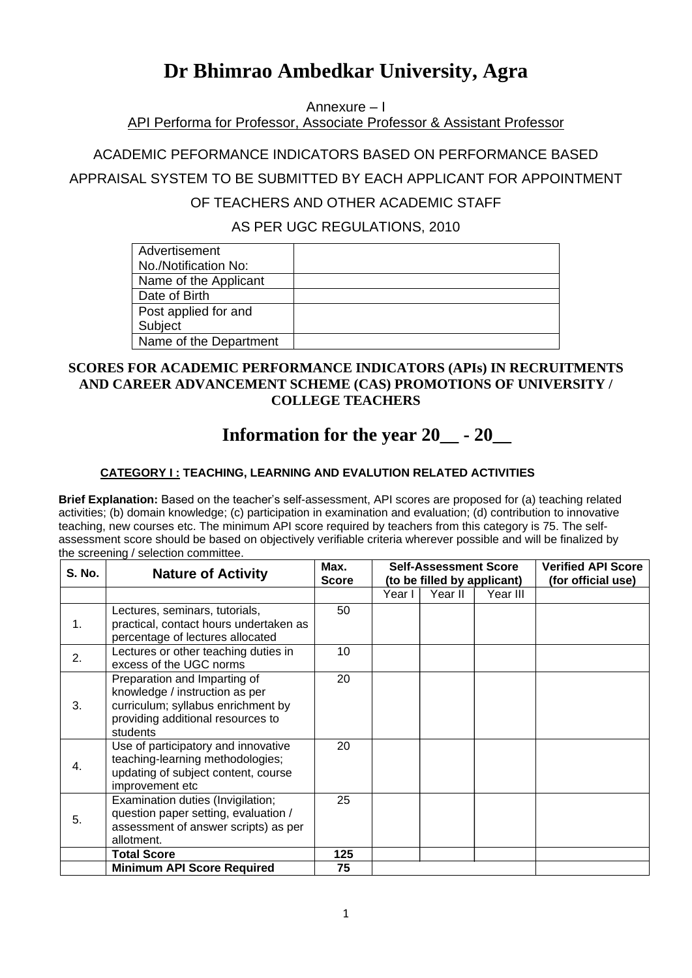# **Dr Bhimrao Ambedkar University, Agra**

Annexure – I

API Performa for Professor, Associate Professor & Assistant Professor

ACADEMIC PEFORMANCE INDICATORS BASED ON PERFORMANCE BASED

APPRAISAL SYSTEM TO BE SUBMITTED BY EACH APPLICANT FOR APPOINTMENT

#### OF TEACHERS AND OTHER ACADEMIC STAFF

AS PER UGC REGULATIONS, 2010

| Advertisement          |  |
|------------------------|--|
| No./Notification No:   |  |
| Name of the Applicant  |  |
| Date of Birth          |  |
| Post applied for and   |  |
| Subject                |  |
| Name of the Department |  |

#### **SCORES FOR ACADEMIC PERFORMANCE INDICATORS (APIs) IN RECRUITMENTS AND CAREER ADVANCEMENT SCHEME (CAS) PROMOTIONS OF UNIVERSITY / COLLEGE TEACHERS**

## **Information for the year 20\_\_ - 20\_\_**

#### **CATEGORY I : TEACHING, LEARNING AND EVALUTION RELATED ACTIVITIES**

**Brief Explanation:** Based on the teacher's self-assessment, API scores are proposed for (a) teaching related activities; (b) domain knowledge; (c) participation in examination and evaluation; (d) contribution to innovative teaching, new courses etc. The minimum API score required by teachers from this category is 75. The selfassessment score should be based on objectively verifiable criteria wherever possible and will be finalized by the screening / selection committee.

| S. No. | <b>Nature of Activity</b>                                                                                                                             | Max.<br><b>Score</b> | <b>Self-Assessment Score</b><br>(to be filled by applicant) |         |  | <b>Verified API Score</b><br>(for official use) |
|--------|-------------------------------------------------------------------------------------------------------------------------------------------------------|----------------------|-------------------------------------------------------------|---------|--|-------------------------------------------------|
|        |                                                                                                                                                       |                      | Year I                                                      | Year II |  |                                                 |
| 1.     | Lectures, seminars, tutorials,<br>practical, contact hours undertaken as<br>percentage of lectures allocated                                          | 50                   |                                                             |         |  |                                                 |
| 2.     | Lectures or other teaching duties in<br>excess of the UGC norms                                                                                       | 10                   |                                                             |         |  |                                                 |
| 3.     | Preparation and Imparting of<br>knowledge / instruction as per<br>curriculum; syllabus enrichment by<br>providing additional resources to<br>students | 20                   |                                                             |         |  |                                                 |
| 4.     | Use of participatory and innovative<br>teaching-learning methodologies;<br>updating of subject content, course<br>improvement etc                     | 20                   |                                                             |         |  |                                                 |
| 5.     | Examination duties (Invigilation;<br>question paper setting, evaluation /<br>assessment of answer scripts) as per<br>allotment.                       | 25                   |                                                             |         |  |                                                 |
|        | <b>Total Score</b>                                                                                                                                    | 125                  |                                                             |         |  |                                                 |
|        | <b>Minimum API Score Required</b>                                                                                                                     | 75                   |                                                             |         |  |                                                 |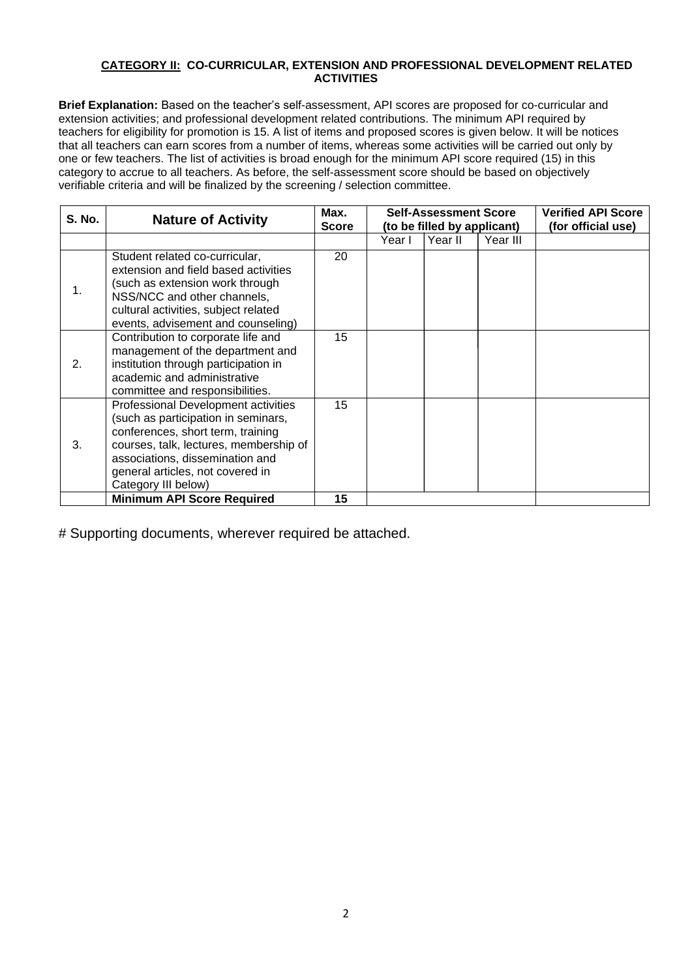#### **CATEGORY II: CO-CURRICULAR, EXTENSION AND PROFESSIONAL DEVELOPMENT RELATED ACTIVITIES**

**Brief Explanation:** Based on the teacher's self-assessment, API scores are proposed for co-curricular and extension activities; and professional development related contributions. The minimum API required by teachers for eligibility for promotion is 15. A list of items and proposed scores is given below. It will be notices that all teachers can earn scores from a number of items, whereas some activities will be carried out only by one or few teachers. The list of activities is broad enough for the minimum API score required (15) in this category to accrue to all teachers. As before, the self-assessment score should be based on objectively verifiable criteria and will be finalized by the screening / selection committee.

| <b>S. No.</b> | <b>Nature of Activity</b>                                                                                                                                                                                                                               | Max. | <b>Self-Assessment Score</b> |         |          | <b>Verified API Score</b> |
|---------------|---------------------------------------------------------------------------------------------------------------------------------------------------------------------------------------------------------------------------------------------------------|------|------------------------------|---------|----------|---------------------------|
|               |                                                                                                                                                                                                                                                         |      | (to be filled by applicant)  |         |          | (for official use)        |
|               |                                                                                                                                                                                                                                                         |      | Year I                       | Year II | Year III |                           |
| 1.            | Student related co-curricular,<br>extension and field based activities<br>(such as extension work through<br>NSS/NCC and other channels,<br>cultural activities, subject related<br>events, advisement and counseling)                                  | 20   |                              |         |          |                           |
| 2.            | Contribution to corporate life and<br>management of the department and<br>institution through participation in<br>academic and administrative<br>committee and responsibilities.                                                                        | 15   |                              |         |          |                           |
| 3.            | Professional Development activities<br>(such as participation in seminars,<br>conferences, short term, training<br>courses, talk, lectures, membership of<br>associations, dissemination and<br>general articles, not covered in<br>Category III below) | 15   |                              |         |          |                           |
|               | <b>Minimum API Score Required</b>                                                                                                                                                                                                                       | 15   |                              |         |          |                           |

# Supporting documents, wherever required be attached.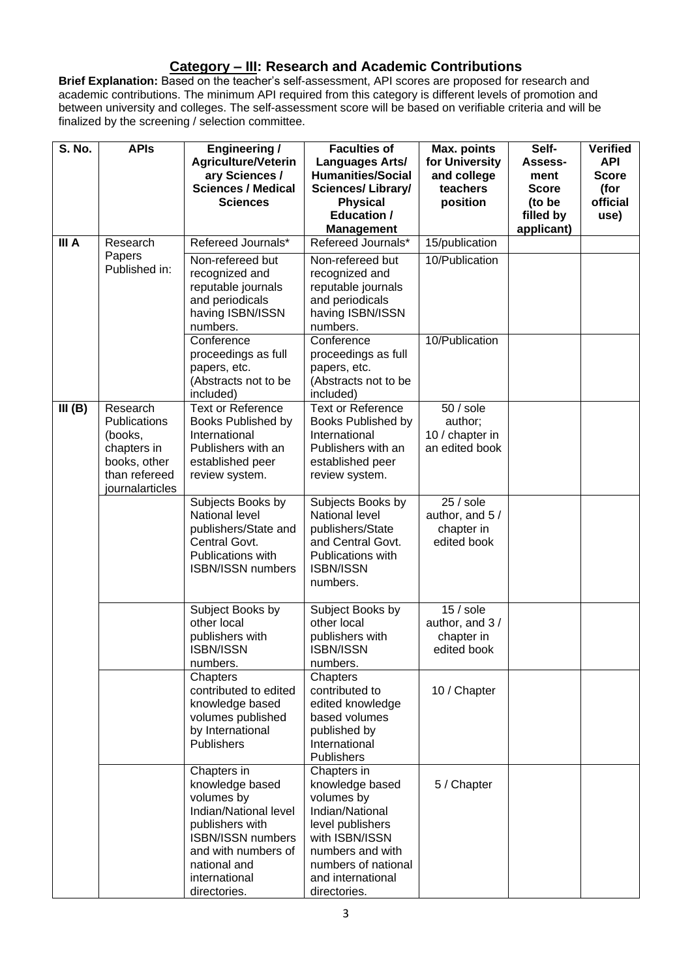### **Category – III: Research and Academic Contributions**

**Brief Explanation:** Based on the teacher's self-assessment, API scores are proposed for research and academic contributions. The minimum API required from this category is different levels of promotion and between university and colleges. The self-assessment score will be based on verifiable criteria and will be finalized by the screening / selection committee.

| S. No. | <b>APIs</b>                                                                                                   | <b>Engineering /</b><br>Agriculture/Veterin<br>ary Sciences /                                                                                                                                | <b>Faculties of</b><br><b>Languages Arts/</b><br><b>Humanities/Social</b>                                                                                                             | Max. points<br>for University<br>and college               | Self-<br>Assess-<br>ment                          | <b>Verified</b><br><b>API</b><br><b>Score</b> |
|--------|---------------------------------------------------------------------------------------------------------------|----------------------------------------------------------------------------------------------------------------------------------------------------------------------------------------------|---------------------------------------------------------------------------------------------------------------------------------------------------------------------------------------|------------------------------------------------------------|---------------------------------------------------|-----------------------------------------------|
|        |                                                                                                               | <b>Sciences / Medical</b><br><b>Sciences</b>                                                                                                                                                 | <b>Sciences/ Library/</b><br><b>Physical</b><br><b>Education /</b><br><b>Management</b>                                                                                               | teachers<br>position                                       | <b>Score</b><br>(to be<br>filled by<br>applicant) | (for<br>official<br>use)                      |
| III A  | Research                                                                                                      | Refereed Journals*                                                                                                                                                                           | Refereed Journals*                                                                                                                                                                    | 15/publication                                             |                                                   |                                               |
|        | Papers<br>Published in:                                                                                       | Non-refereed but<br>recognized and<br>reputable journals<br>and periodicals<br>having ISBN/ISSN<br>numbers.                                                                                  | Non-refereed but<br>recognized and<br>reputable journals<br>and periodicals<br>having ISBN/ISSN<br>numbers.                                                                           | 10/Publication                                             |                                                   |                                               |
|        |                                                                                                               | Conference<br>proceedings as full<br>papers, etc.<br>(Abstracts not to be<br>included)                                                                                                       | Conference<br>proceedings as full<br>papers, etc.<br>(Abstracts not to be<br>included)                                                                                                | 10/Publication                                             |                                                   |                                               |
| III(B) | Research<br><b>Publications</b><br>(books,<br>chapters in<br>books, other<br>than refereed<br>journalarticles | <b>Text or Reference</b><br>Books Published by<br>International<br>Publishers with an<br>established peer<br>review system.                                                                  | <b>Text or Reference</b><br>Books Published by<br>International<br>Publishers with an<br>established peer<br>review system.                                                           | $50/$ sole<br>author;<br>10 / chapter in<br>an edited book |                                                   |                                               |
|        |                                                                                                               | Subjects Books by<br>National level<br>publishers/State and<br>Central Govt.<br>Publications with<br><b>ISBN/ISSN numbers</b>                                                                | Subjects Books by<br>National level<br>publishers/State<br>and Central Govt.<br>Publications with<br><b>ISBN/ISSN</b><br>numbers.                                                     | $25/$ sole<br>author, and 5 /<br>chapter in<br>edited book |                                                   |                                               |
|        |                                                                                                               | Subject Books by<br>other local<br>publishers with<br><b>ISBN/ISSN</b><br>numbers.                                                                                                           | Subject Books by<br>other local<br>publishers with<br><b>ISBN/ISSN</b><br>numbers.                                                                                                    | $15/$ sole<br>author, and 3/<br>chapter in<br>edited book  |                                                   |                                               |
|        |                                                                                                               | Chapters<br>contributed to edited<br>knowledge based<br>volumes published<br>by International<br>Publishers                                                                                  | Chapters<br>contributed to<br>edited knowledge<br>based volumes<br>published by<br>International<br>Publishers                                                                        | 10 / Chapter                                               |                                                   |                                               |
|        |                                                                                                               | Chapters in<br>knowledge based<br>volumes by<br>Indian/National level<br>publishers with<br><b>ISBN/ISSN numbers</b><br>and with numbers of<br>national and<br>international<br>directories. | Chapters in<br>knowledge based<br>volumes by<br>Indian/National<br>level publishers<br>with ISBN/ISSN<br>numbers and with<br>numbers of national<br>and international<br>directories. | 5 / Chapter                                                |                                                   |                                               |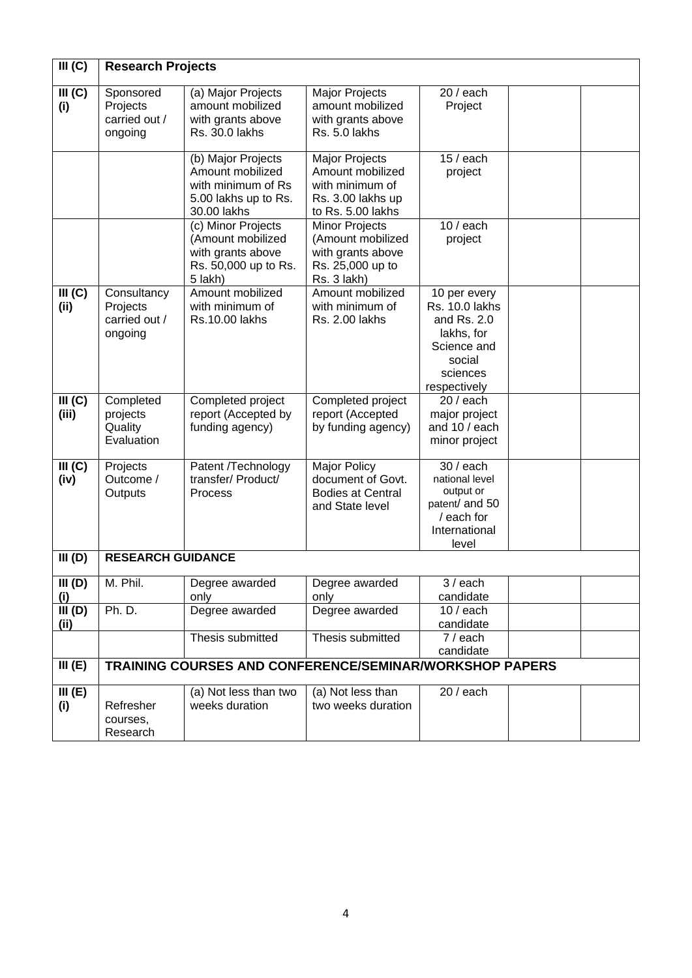| III (C)          | <b>Research Projects</b>                            |                                                                                                     |                                                                                                    |                                                                                                                         |  |
|------------------|-----------------------------------------------------|-----------------------------------------------------------------------------------------------------|----------------------------------------------------------------------------------------------------|-------------------------------------------------------------------------------------------------------------------------|--|
| III (C)<br>(i)   | Sponsored<br>Projects<br>carried out /<br>ongoing   | (a) Major Projects<br>amount mobilized<br>with grants above<br>Rs. 30.0 lakhs                       | <b>Major Projects</b><br>amount mobilized<br>with grants above<br>Rs. 5.0 lakhs                    | $20/$ each<br>Project                                                                                                   |  |
|                  |                                                     | (b) Major Projects<br>Amount mobilized<br>with minimum of Rs<br>5.00 lakhs up to Rs.<br>30.00 lakhs | Major Projects<br>Amount mobilized<br>with minimum of<br>Rs. 3.00 lakhs up<br>to Rs. 5.00 lakhs    | $15/$ each<br>project                                                                                                   |  |
|                  |                                                     | (c) Minor Projects<br>(Amount mobilized<br>with grants above<br>Rs. 50,000 up to Rs.<br>5 lakh)     | <b>Minor Projects</b><br>(Amount mobilized<br>with grants above<br>Rs. 25,000 up to<br>Rs. 3 lakh) | $10/$ each<br>project                                                                                                   |  |
| III (C)<br>(ii)  | Consultancy<br>Projects<br>carried out /<br>ongoing | Amount mobilized<br>with minimum of<br>Rs.10.00 lakhs                                               | Amount mobilized<br>with minimum of<br><b>Rs. 2.00 lakhs</b>                                       | 10 per every<br><b>Rs. 10.0 lakhs</b><br>and Rs. 2.0<br>lakhs, for<br>Science and<br>social<br>sciences<br>respectively |  |
| III (C)<br>(iii) | Completed<br>projects<br>Quality<br>Evaluation      | Completed project<br>report (Accepted by<br>funding agency)                                         | Completed project<br>report (Accepted<br>by funding agency)                                        | $20/$ each<br>major project<br>and 10 / each<br>minor project                                                           |  |
| III (C)<br>(iv)  | Projects<br>Outcome /<br>Outputs                    | Patent /Technology<br>transfer/ Product/<br>Process                                                 | <b>Major Policy</b><br>document of Govt.<br><b>Bodies at Central</b><br>and State level            | $30/$ each<br>national level<br>output or<br>patent/ and 50<br>/ each for<br>International<br>level                     |  |
| III(D)           | <b>RESEARCH GUIDANCE</b>                            |                                                                                                     |                                                                                                    |                                                                                                                         |  |
| III(D)<br>(i)    | M. Phil.                                            | Degree awarded<br>only                                                                              | Degree awarded<br>only                                                                             | $3/$ each<br>candidate                                                                                                  |  |
| III(D)<br>(ii)   | <b>Ph. D.</b>                                       | Degree awarded                                                                                      | Degree awarded                                                                                     | $10/$ each<br>candidate                                                                                                 |  |
|                  |                                                     | Thesis submitted                                                                                    | Thesis submitted                                                                                   | $7/$ each<br>candidate                                                                                                  |  |
| III(E)           |                                                     | TRAINING COURSES AND CONFERENCE/SEMINAR/WORKSHOP PAPERS                                             |                                                                                                    |                                                                                                                         |  |
| III(E)<br>(i)    | Refresher<br>courses,<br>Research                   | (a) Not less than two<br>weeks duration                                                             | (a) Not less than<br>two weeks duration                                                            | $20/$ each                                                                                                              |  |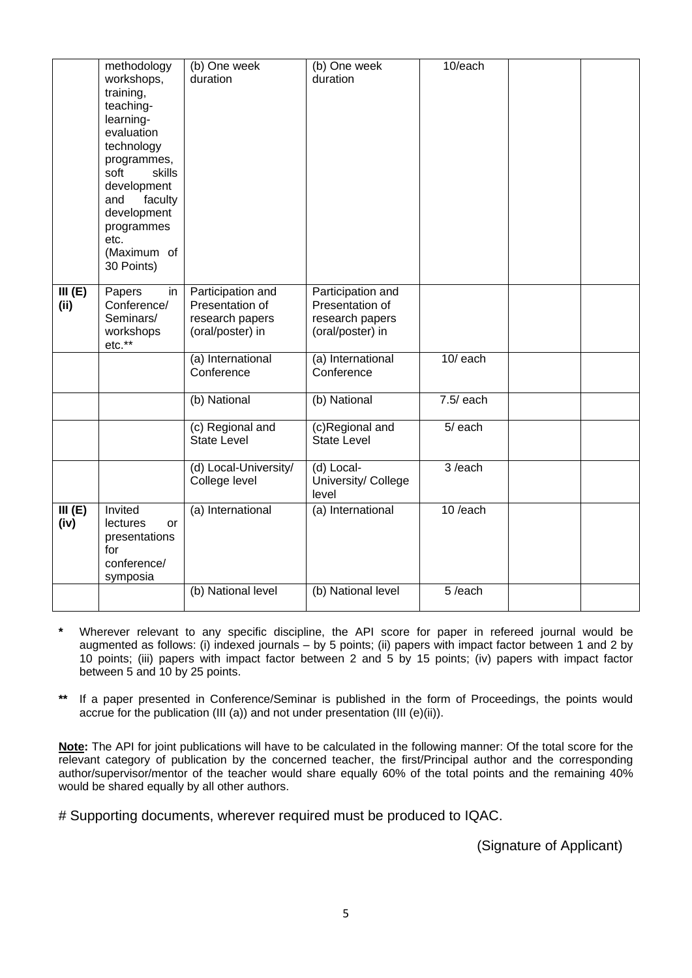|                | methodology<br>workshops,<br>training,<br>teaching-<br>learning-<br>evaluation<br>technology<br>programmes,<br>soft<br>skills<br>development<br>and<br>faculty<br>development<br>programmes<br>etc.<br>(Maximum of<br>30 Points) | (b) One week<br>duration                                                    | (b) One week<br>duration                                                    | 10/each     |  |
|----------------|----------------------------------------------------------------------------------------------------------------------------------------------------------------------------------------------------------------------------------|-----------------------------------------------------------------------------|-----------------------------------------------------------------------------|-------------|--|
| III(E)<br>(i)  | Papers<br>in<br>Conference/<br>Seminars/<br>workshops<br>etc.**                                                                                                                                                                  | Participation and<br>Presentation of<br>research papers<br>(oral/poster) in | Participation and<br>Presentation of<br>research papers<br>(oral/poster) in |             |  |
|                |                                                                                                                                                                                                                                  | (a) International<br>Conference                                             | (a) International<br>Conference                                             | $10/$ each  |  |
|                |                                                                                                                                                                                                                                  | (b) National                                                                | (b) National                                                                | $7.5/$ each |  |
|                |                                                                                                                                                                                                                                  | (c) Regional and<br><b>State Level</b>                                      | (c)Regional and<br><b>State Level</b>                                       | $5/$ each   |  |
|                |                                                                                                                                                                                                                                  | (d) Local-University/<br>College level                                      | (d) Local-<br>University/ College<br>level                                  | 3/each      |  |
| III(E)<br>(iv) | Invited<br>lectures<br>or<br>presentations<br>for<br>conference/<br>symposia                                                                                                                                                     | (a) International                                                           | (a) International                                                           | 10/each     |  |
|                |                                                                                                                                                                                                                                  | (b) National level                                                          | (b) National level                                                          | 5/each      |  |

- **\*** Wherever relevant to any specific discipline, the API score for paper in refereed journal would be augmented as follows: (i) indexed journals – by 5 points; (ii) papers with impact factor between 1 and 2 by 10 points; (iii) papers with impact factor between 2 and 5 by 15 points; (iv) papers with impact factor between 5 and 10 by 25 points.
- If a paper presented in Conference/Seminar is published in the form of Proceedings, the points would accrue for the publication (III (a)) and not under presentation (III (e)(ii)).

**Note:** The API for joint publications will have to be calculated in the following manner: Of the total score for the relevant category of publication by the concerned teacher, the first/Principal author and the corresponding author/supervisor/mentor of the teacher would share equally 60% of the total points and the remaining 40% would be shared equally by all other authors.

# Supporting documents, wherever required must be produced to IQAC.

(Signature of Applicant)